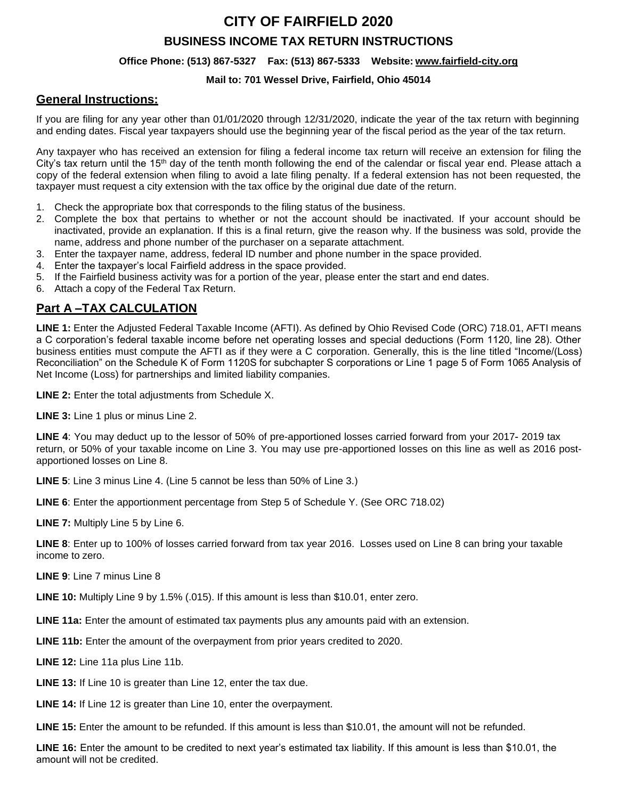# **CITY OF FAIRFIELD 2020**

## **BUSINESS INCOME TAX RETURN INSTRUCTIONS**

#### **Office Phone: (513) 867-5327 Fax: (513) 867-5333 Website[: www.fairfield-city.org](http://www.fairfield-city.org/)**

#### **Mail to: 701 Wessel Drive, Fairfield, Ohio 45014**

### **General Instructions:**

If you are filing for any year other than 01/01/2020 through 12/31/2020, indicate the year of the tax return with beginning and ending dates. Fiscal year taxpayers should use the beginning year of the fiscal period as the year of the tax return.

Any taxpayer who has received an extension for filing a federal income tax return will receive an extension for filing the City's tax return until the 15<sup>th</sup> day of the tenth month following the end of the calendar or fiscal year end. Please attach a copy of the federal extension when filing to avoid a late filing penalty. If a federal extension has not been requested, the taxpayer must request a city extension with the tax office by the original due date of the return.

- 1. Check the appropriate box that corresponds to the filing status of the business.
- 2. Complete the box that pertains to whether or not the account should be inactivated. If your account should be inactivated, provide an explanation. If this is a final return, give the reason why. If the business was sold, provide the name, address and phone number of the purchaser on a separate attachment.
- 3. Enter the taxpayer name, address, federal ID number and phone number in the space provided.
- 4. Enter the taxpayer's local Fairfield address in the space provided.
- 5. If the Fairfield business activity was for a portion of the year, please enter the start and end dates.
- 6. Attach a copy of the Federal Tax Return.

## **Part A –TAX CALCULATION**

**LINE 1:** Enter the Adjusted Federal Taxable Income (AFTI). As defined by Ohio Revised Code (ORC) 718.01, AFTI means a C corporation's federal taxable income before net operating losses and special deductions (Form 1120, line 28). Other business entities must compute the AFTI as if they were a C corporation. Generally, this is the line titled "Income/(Loss) Reconciliation" on the Schedule K of Form 1120S for subchapter S corporations or Line 1 page 5 of Form 1065 Analysis of Net Income (Loss) for partnerships and limited liability companies.

**LINE 2:** Enter the total adjustments from Schedule X.

**LINE 3:** Line 1 plus or minus Line 2.

**LINE 4**: You may deduct up to the lessor of 50% of pre-apportioned losses carried forward from your 2017- 2019 tax return, or 50% of your taxable income on Line 3. You may use pre-apportioned losses on this line as well as 2016 postapportioned losses on Line 8.

**LINE 5**: Line 3 minus Line 4. (Line 5 cannot be less than 50% of Line 3.)

**LINE 6**: Enter the apportionment percentage from Step 5 of Schedule Y. (See ORC 718.02)

**LINE 7:** Multiply Line 5 by Line 6.

**LINE 8**: Enter up to 100% of losses carried forward from tax year 2016. Losses used on Line 8 can bring your taxable income to zero.

**LINE 9**: Line 7 minus Line 8

**LINE 10:** Multiply Line 9 by 1.5% (.015). If this amount is less than \$10.01, enter zero.

**LINE 11a:** Enter the amount of estimated tax payments plus any amounts paid with an extension.

**LINE 11b:** Enter the amount of the overpayment from prior years credited to 2020.

**LINE 12:** Line 11a plus Line 11b.

**LINE 13:** If Line 10 is greater than Line 12, enter the tax due.

**LINE 14:** If Line 12 is greater than Line 10, enter the overpayment.

**LINE 15:** Enter the amount to be refunded. If this amount is less than \$10.01, the amount will not be refunded.

**LINE 16:** Enter the amount to be credited to next year's estimated tax liability. If this amount is less than \$10.01, the amount will not be credited.